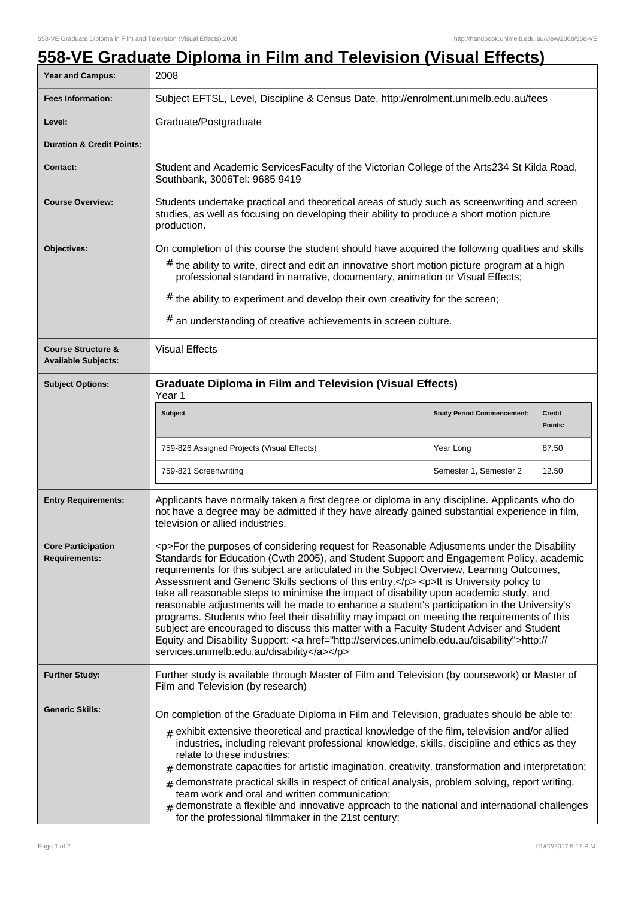## **558-VE Graduate Diploma in Film and Television (Visual Effects)**

| Year and Campus:                                            | 2008                                                                                                                                                                                                                                                                                                                                                                                                                                                                                                                                                                                                                                                                                                                                                                                                                                                                                                                         |                                   |                          |
|-------------------------------------------------------------|------------------------------------------------------------------------------------------------------------------------------------------------------------------------------------------------------------------------------------------------------------------------------------------------------------------------------------------------------------------------------------------------------------------------------------------------------------------------------------------------------------------------------------------------------------------------------------------------------------------------------------------------------------------------------------------------------------------------------------------------------------------------------------------------------------------------------------------------------------------------------------------------------------------------------|-----------------------------------|--------------------------|
| <b>Fees Information:</b>                                    | Subject EFTSL, Level, Discipline & Census Date, http://enrolment.unimelb.edu.au/fees                                                                                                                                                                                                                                                                                                                                                                                                                                                                                                                                                                                                                                                                                                                                                                                                                                         |                                   |                          |
| Level:                                                      | Graduate/Postgraduate                                                                                                                                                                                                                                                                                                                                                                                                                                                                                                                                                                                                                                                                                                                                                                                                                                                                                                        |                                   |                          |
| <b>Duration &amp; Credit Points:</b>                        |                                                                                                                                                                                                                                                                                                                                                                                                                                                                                                                                                                                                                                                                                                                                                                                                                                                                                                                              |                                   |                          |
| <b>Contact:</b>                                             | Student and Academic ServicesFaculty of the Victorian College of the Arts234 St Kilda Road,<br>Southbank, 3006Tel: 9685 9419                                                                                                                                                                                                                                                                                                                                                                                                                                                                                                                                                                                                                                                                                                                                                                                                 |                                   |                          |
| <b>Course Overview:</b>                                     | Students undertake practical and theoretical areas of study such as screenwriting and screen<br>studies, as well as focusing on developing their ability to produce a short motion picture<br>production.                                                                                                                                                                                                                                                                                                                                                                                                                                                                                                                                                                                                                                                                                                                    |                                   |                          |
| Objectives:                                                 | On completion of this course the student should have acquired the following qualities and skills<br>$#$ the ability to write, direct and edit an innovative short motion picture program at a high<br>professional standard in narrative, documentary, animation or Visual Effects;<br>$#$ the ability to experiment and develop their own creativity for the screen;<br># an understanding of creative achievements in screen culture.                                                                                                                                                                                                                                                                                                                                                                                                                                                                                      |                                   |                          |
| <b>Course Structure &amp;</b><br><b>Available Subjects:</b> | <b>Visual Effects</b>                                                                                                                                                                                                                                                                                                                                                                                                                                                                                                                                                                                                                                                                                                                                                                                                                                                                                                        |                                   |                          |
| <b>Subject Options:</b>                                     | <b>Graduate Diploma in Film and Television (Visual Effects)</b><br>Year 1                                                                                                                                                                                                                                                                                                                                                                                                                                                                                                                                                                                                                                                                                                                                                                                                                                                    |                                   |                          |
|                                                             | <b>Subject</b>                                                                                                                                                                                                                                                                                                                                                                                                                                                                                                                                                                                                                                                                                                                                                                                                                                                                                                               | <b>Study Period Commencement:</b> | <b>Credit</b><br>Points: |
|                                                             | 759-826 Assigned Projects (Visual Effects)                                                                                                                                                                                                                                                                                                                                                                                                                                                                                                                                                                                                                                                                                                                                                                                                                                                                                   | Year Long                         | 87.50                    |
|                                                             | 759-821 Screenwriting                                                                                                                                                                                                                                                                                                                                                                                                                                                                                                                                                                                                                                                                                                                                                                                                                                                                                                        | Semester 1, Semester 2            | 12.50                    |
| <b>Entry Requirements:</b>                                  | Applicants have normally taken a first degree or diploma in any discipline. Applicants who do<br>not have a degree may be admitted if they have already gained substantial experience in film,<br>television or allied industries.                                                                                                                                                                                                                                                                                                                                                                                                                                                                                                                                                                                                                                                                                           |                                   |                          |
| <b>Core Participation</b><br><b>Requirements:</b>           | <p>For the purposes of considering request for Reasonable Adjustments under the Disability<br/>Standards for Education (Cwth 2005), and Student Support and Engagement Policy, academic<br/>requirements for this subject are articulated in the Subject Overview, Learning Outcomes,<br/>Assessment and Generic Skills sections of this entry.</p> <p>It is University policy to<br/>take all reasonable steps to minimise the impact of disability upon academic study, and<br/>reasonable adjustments will be made to enhance a student's participation in the University's<br/>programs. Students who feel their disability may impact on meeting the requirements of this<br/>subject are encouraged to discuss this matter with a Faculty Student Adviser and Student<br/>Equity and Disability Support: &lt; a href="http://services.unimelb.edu.au/disability"&gt;http://<br/>services.unimelb.edu.au/disability</p> |                                   |                          |
| <b>Further Study:</b>                                       | Further study is available through Master of Film and Television (by coursework) or Master of<br>Film and Television (by research)                                                                                                                                                                                                                                                                                                                                                                                                                                                                                                                                                                                                                                                                                                                                                                                           |                                   |                          |
| <b>Generic Skills:</b>                                      | On completion of the Graduate Diploma in Film and Television, graduates should be able to:<br>$_{\text{\#}}$ exhibit extensive theoretical and practical knowledge of the film, television and/or allied<br>industries, including relevant professional knowledge, skills, discipline and ethics as they<br>relate to these industries;<br>demonstrate capacities for artistic imagination, creativity, transformation and interpretation;<br>#<br>demonstrate practical skills in respect of critical analysis, problem solving, report writing,<br>#<br>team work and oral and written communication;<br>$#$ demonstrate a flexible and innovative approach to the national and international challenges<br>for the professional filmmaker in the 21st century;                                                                                                                                                            |                                   |                          |